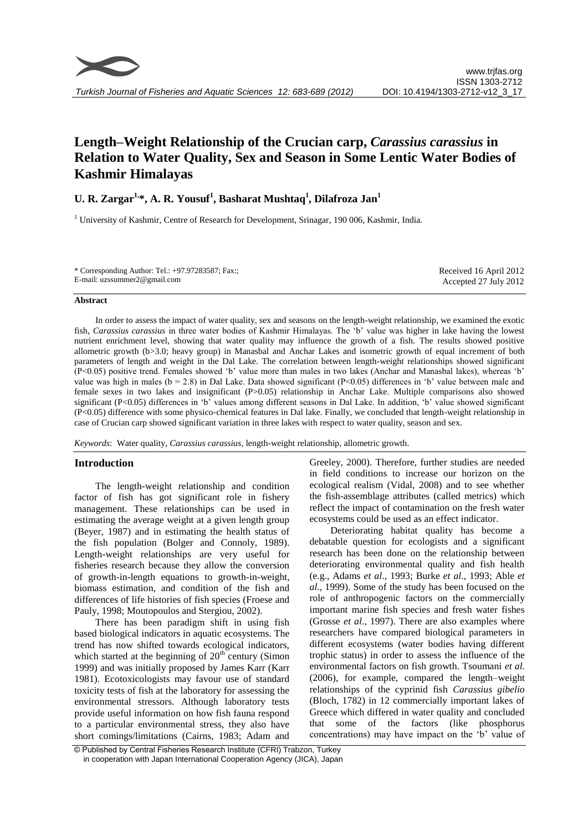# **Length–Weight Relationship of the Crucian carp,** *Carassius carassius* **in Relation to Water Quality, Sex and Season in Some Lentic Water Bodies of Kashmir Himalayas**

## **U. R. Zargar1,\*, A. R. Yousuf<sup>1</sup> , Basharat Mushtaq<sup>1</sup> , Dilafroza Jan<sup>1</sup>**

<sup>1</sup> University of Kashmir, Centre of Research for Development, Srinagar, 190 006, Kashmir, India.

| * Corresponding Author: Tel.: $+97.97283587$ ; Fax.: | Received 16 April 2012 |
|------------------------------------------------------|------------------------|
| E-mail: uzssummer $2@$ gmail.com                     | Accepted 27 July 2012  |

### **Abstract**

In order to assess the impact of water quality, sex and seasons on the length-weight relationship, we examined the exotic fish, *Carassius carassius* in three water bodies of Kashmir Himalayas. The 'b' value was higher in lake having the lowest nutrient enrichment level, showing that water quality may influence the growth of a fish. The results showed positive allometric growth (b>3.0; heavy group) in Manasbal and Anchar Lakes and isometric growth of equal increment of both parameters of length and weight in the Dal Lake. The correlation between length-weight relationships showed significant (P<0.05) positive trend. Females showed 'b' value more than males in two lakes (Anchar and Manasbal lakes), whereas 'b' value was high in males ( $b = 2.8$ ) in Dal Lake. Data showed significant ( $P < 0.05$ ) differences in 'b' value between male and female sexes in two lakes and insignificant (P>0.05) relationship in Anchar Lake. Multiple comparisons also showed significant (P<0.05) differences in 'b' values among different seasons in Dal Lake. In addition, 'b' value showed significant (P<0.05) difference with some physico-chemical features in Dal lake. Finally, we concluded that length-weight relationship in case of Crucian carp showed significant variation in three lakes with respect to water quality, season and sex.

*Keywords*: Water quality, *Carassius carassius,* length-weight relationship, allometric growth.

### **Introduction**

The length-weight relationship and condition factor of fish has got significant role in fishery management. These relationships can be used in estimating the average weight at a given length group (Beyer, 1987) and in estimating the health status of the fish population (Bolger and Connoly, 1989). Length-weight relationships are very useful for fisheries research because they allow the conversion of growth-in-length equations to growth-in-weight, biomass estimation, and condition of the fish and differences of life histories of fish species (Froese and Pauly, 1998; Moutopoulos and Stergiou, 2002).

There has been paradigm shift in using fish based biological indicators in aquatic ecosystems. The trend has now shifted towards ecological indicators, which started at the beginning of  $20<sup>th</sup>$  century (Simon 1999) and was initially proposed by James Karr (Karr 1981). Ecotoxicologists may favour use of standard toxicity tests of fish at the laboratory for assessing the environmental stressors. Although laboratory tests provide useful information on how fish fauna respond to a particular environmental stress, they also have short comings/limitations (Cairns, 1983; Adam and

Greeley, 2000). Therefore, further studies are needed in field conditions to increase our horizon on the ecological realism (Vidal, 2008) and to see whether the fish-assemblage attributes (called metrics) which reflect the impact of contamination on the fresh water ecosystems could be used as an effect indicator.

Deteriorating habitat quality has become a debatable question for ecologists and a significant research has been done on the relationship between deteriorating environmental quality and fish health (e.g., Adams *et al*., 1993; Burke *et al*., 1993; Able *et al*., 1999). Some of the study has been focused on the role of anthropogenic factors on the commercially important marine fish species and fresh water fishes (Grosse *et al*., 1997). There are also examples where researchers have compared biological parameters in different ecosystems (water bodies having different trophic status) in order to assess the influence of the environmental factors on fish growth. Tsoumani *et al.* (2006), for example, compared the length–weight relationships of the cyprinid fish *Carassius gibelio* (Bloch, 1782) in 12 commercially important lakes of Greece which differed in water quality and concluded that some of the factors (like phosphorus concentrations) may have impact on the 'b' value of

<sup>©</sup> Published by Central Fisheries Research Institute (CFRI) Trabzon, Turkey in cooperation with Japan International Cooperation Agency (JICA), Japan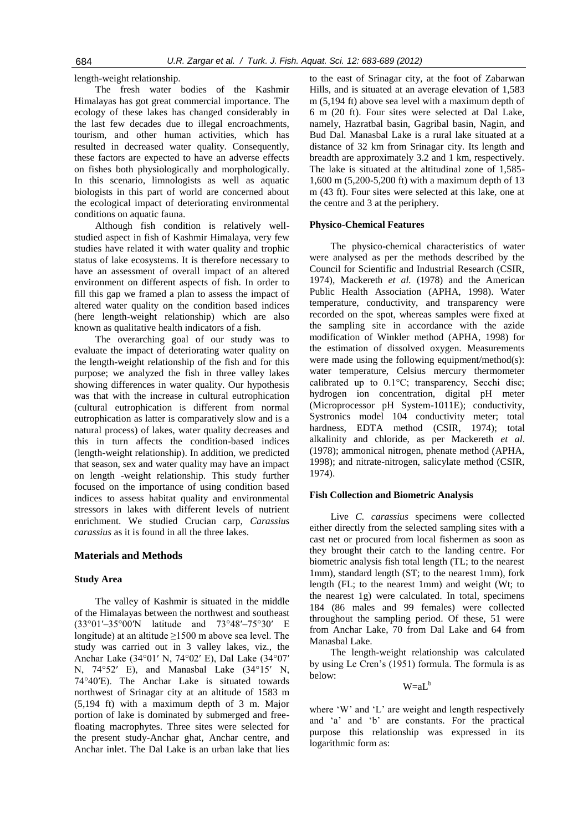length-weight relationship.

The fresh water bodies of the Kashmir Himalayas has got great commercial importance. The ecology of these lakes has changed considerably in the last few decades due to illegal encroachments, tourism, and other human activities, which has resulted in decreased water quality. Consequently, these factors are expected to have an adverse effects on fishes both physiologically and morphologically. In this scenario, limnologists as well as aquatic biologists in this part of world are concerned about the ecological impact of deteriorating environmental conditions on aquatic fauna.

Although fish condition is relatively wellstudied aspect in fish of Kashmir Himalaya, very few studies have related it with water quality and trophic status of lake ecosystems. It is therefore necessary to have an assessment of overall impact of an altered environment on different aspects of fish. In order to fill this gap we framed a plan to assess the impact of altered water quality on the condition based indices (here length-weight relationship) which are also known as qualitative health indicators of a fish.

The overarching goal of our study was to evaluate the impact of deteriorating water quality on the length-weight relationship of the fish and for this purpose; we analyzed the fish in three valley lakes showing differences in water quality. Our hypothesis was that with the increase in cultural eutrophication (cultural eutrophication is different from normal eutrophication as latter is comparatively slow and is a natural process) of lakes, water quality decreases and this in turn affects the condition-based indices (length-weight relationship). In addition, we predicted that season, sex and water quality may have an impact on length -weight relationship. This study further focused on the importance of using condition based indices to assess habitat quality and environmental stressors in lakes with different levels of nutrient enrichment. We studied Crucian carp, *Carassius carassius* as it is found in all the three lakes.

### **Materials and Methods**

### **Study Area**

The valley of Kashmir is situated in the middle of the Himalayas between the northwest and southeast (33°01′–35°00′N latitude and 73°48′–75°30′ E longitude) at an altitude  $\geq$ 1500 m above sea level. The study was carried out in 3 valley lakes, viz., the Anchar Lake (34°01′ N, 74°02′ E), Dal Lake (34°07′ N, 74°52′ E), and Manasbal Lake (34°15′ N, 74°40′E). The Anchar Lake is situated towards northwest of Srinagar city at an altitude of 1583 m (5,194 ft) with a maximum depth of 3 m. Major portion of lake is dominated by submerged and freefloating macrophytes. Three sites were selected for the present study-Anchar ghat, Anchar centre, and Anchar inlet. The Dal Lake is an urban lake that lies

to the east of Srinagar city, at the foot of Zabarwan Hills, and is situated at an average elevation of 1,583 m (5,194 ft) above sea level with a maximum depth of 6 m (20 ft). Four sites were selected at Dal Lake, namely, Hazratbal basin, Gagribal basin, Nagin, and Bud Dal. Manasbal Lake is a rural lake situated at a distance of 32 km from Srinagar city. Its length and breadth are approximately 3.2 and 1 km, respectively. The lake is situated at the altitudinal zone of 1,585- 1,600 m (5,200-5,200 ft) with a maximum depth of 13 m (43 ft). Four sites were selected at this lake, one at the centre and 3 at the periphery.

### **Physico-Chemical Features**

The physico-chemical characteristics of water were analysed as per the methods described by the Council for Scientific and Industrial Research (CSIR, 1974), Mackereth *et al.* (1978) and the American Public Health Association (APHA, 1998). Water temperature, conductivity, and transparency were recorded on the spot, whereas samples were fixed at the sampling site in accordance with the azide modification of Winkler method (APHA, 1998) for the estimation of dissolved oxygen. Measurements were made using the following equipment/method(s): water temperature, Celsius mercury thermometer calibrated up to 0.1°C; transparency, Secchi disc; hydrogen ion concentration, digital pH meter (Microprocessor pH System-1011E); conductivity, Systronics model 104 conductivity meter; total hardness, EDTA method (CSIR, 1974); total alkalinity and chloride, as per Mackereth *et al*. (1978); ammonical nitrogen, phenate method (APHA, 1998); and nitrate-nitrogen, salicylate method (CSIR, 1974).

### **Fish Collection and Biometric Analysis**

Live *C. carassius* specimens were collected either directly from the selected sampling sites with a cast net or procured from local fishermen as soon as they brought their catch to the landing centre. For biometric analysis fish total length (TL; to the nearest 1mm), standard length (ST; to the nearest 1mm), fork length (FL; to the nearest 1mm) and weight (Wt; to the nearest 1g) were calculated. In total, specimens 184 (86 males and 99 females) were collected throughout the sampling period. Of these, 51 were from Anchar Lake, 70 from Dal Lake and 64 from Manasbal Lake.

The length-weight relationship was calculated by using Le Cren's (1951) formula. The formula is as below:

 $W=aL^b$ 

where 'W' and 'L' are weight and length respectively and 'a' and 'b' are constants. For the practical purpose this relationship was expressed in its logarithmic form as: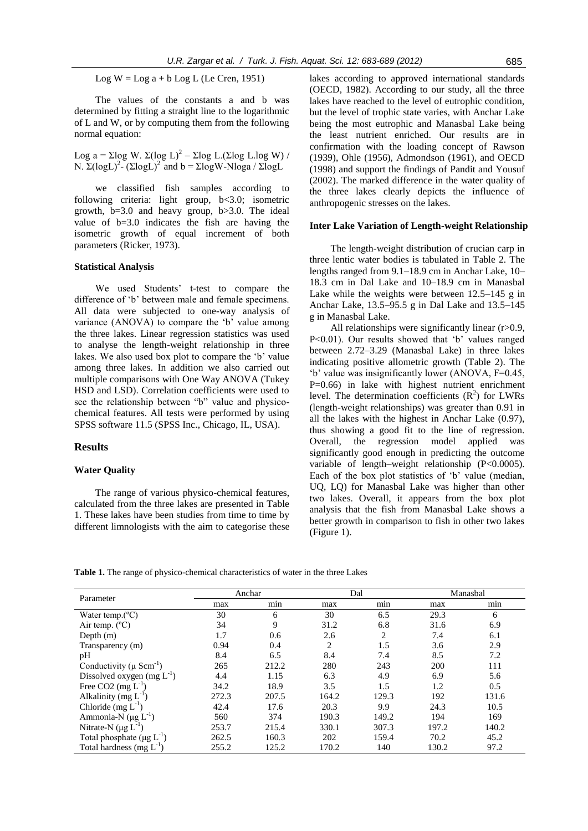Log  $W = Log a + b Log L$  (Le Cren, 1951)

The values of the constants a and b was determined by fitting a straight line to the logarithmic of L and W, or by computing them from the following normal equation:

Log a = Σlog W. Σ(log L)<sup>2</sup> – Σlog L.(Σlog L.log W) / N. Σ(logL)<sup>2</sup>- (ΣlogL)<sup>2</sup> and b = ΣlogW-Nloga / ΣlogL

we classified fish samples according to following criteria: light group, b<3.0; isometric growth, b=3.0 and heavy group, b>3.0. The ideal value of b=3.0 indicates the fish are having the isometric growth of equal increment of both parameters (Ricker, 1973).

### **Statistical Analysis**

We used Students' t-test to compare the difference of 'b' between male and female specimens. All data were subjected to one-way analysis of variance (ANOVA) to compare the 'b' value among the three lakes. Linear regression statistics was used to analyse the length-weight relationship in three lakes. We also used box plot to compare the 'b' value among three lakes. In addition we also carried out multiple comparisons with One Way ANOVA (Tukey HSD and LSD). Correlation coefficients were used to see the relationship between "b" value and physicochemical features. All tests were performed by using SPSS software 11.5 (SPSS Inc., Chicago, IL, USA).

### **Results**

### **Water Quality**

The range of various physico-chemical features, calculated from the three lakes are presented in Table 1. These lakes have been studies from time to time by different limnologists with the aim to categorise these

lakes according to approved international standards (OECD, 1982). According to our study, all the three lakes have reached to the level of eutrophic condition, but the level of trophic state varies, with Anchar Lake being the most eutrophic and Manasbal Lake being the least nutrient enriched. Our results are in confirmation with the loading concept of Rawson (1939), Ohle (1956), Admondson (1961), and OECD (1998) and support the findings of Pandit and Yousuf (2002). The marked difference in the water quality of the three lakes clearly depicts the influence of anthropogenic stresses on the lakes.

#### **Inter Lake Variation of Length-weight Relationship**

The length-weight distribution of crucian carp in three lentic water bodies is tabulated in Table 2. The lengths ranged from 9.1–18.9 cm in Anchar Lake, 10– 18.3 cm in Dal Lake and 10–18.9 cm in Manasbal Lake while the weights were between 12.5–145 g in Anchar Lake, 13.5–95.5 g in Dal Lake and 13.5–145 g in Manasbal Lake.

All relationships were significantly linear (r>0.9, P<0.01). Our results showed that 'b' values ranged between 2.72–3.29 (Manasbal Lake) in three lakes indicating positive allometric growth (Table 2). The 'b' value was insignificantly lower (ANOVA, F=0.45,  $P=0.66$ ) in lake with highest nutrient enrichment level. The determination coefficients  $(R^2)$  for LWRs (length-weight relationships) was greater than 0.91 in all the lakes with the highest in Anchar Lake (0.97), thus showing a good fit to the line of regression. Overall, the regression model applied was significantly good enough in predicting the outcome variable of length–weight relationship (P<0.0005). Each of the box plot statistics of 'b' value (median, UQ, LQ) for Manasbal Lake was higher than other two lakes. Overall, it appears from the box plot analysis that the fish from Manasbal Lake shows a better growth in comparison to fish in other two lakes (Figure 1).

**Table 1.** The range of physico-chemical characteristics of water in the three Lakes

| Parameter                                |       | Anchar |                | Dal   | Manasbal |       |
|------------------------------------------|-------|--------|----------------|-------|----------|-------|
|                                          | max   | min    | max            | min   | max      | min   |
| Water temp. $(^{\circ}C)$                | 30    | 6      | 30             | 6.5   | 29.3     | 6     |
| Air temp. $(^{\circ}C)$                  | 34    | 9      | 31.2           | 6.8   | 31.6     | 6.9   |
| Depth $(m)$                              | 1.7   | 0.6    | 2.6            | 2     | 7.4      | 6.1   |
| Transparency (m)                         | 0.94  | 0.4    | $\overline{2}$ | 1.5   | 3.6      | 2.9   |
| pH                                       | 8.4   | 6.5    | 8.4            | 7.4   | 8.5      | 7.2   |
| Conductivity ( $\mu$ Scm <sup>-1</sup> ) | 265   | 212.2  | 280            | 243   | 200      | 111   |
| Dissolved oxygen (mg $L^{-1}$ )          | 4.4   | 1.15   | 6.3            | 4.9   | 6.9      | 5.6   |
| Free CO2 $(mg L^{-1})$                   | 34.2  | 18.9   | 3.5            | 1.5   | 1.2      | 0.5   |
| Alkalinity (mg $L^{-1}$ )                | 272.3 | 207.5  | 164.2          | 129.3 | 192      | 131.6 |
| Chloride $(mg L^{-1})$                   | 42.4  | 17.6   | 20.3           | 9.9   | 24.3     | 10.5  |
| Ammonia-N $(\mu g L^{-1})$               | 560   | 374    | 190.3          | 149.2 | 194      | 169   |
| Nitrate-N $(\mu g L^{-1})$               | 253.7 | 215.4  | 330.1          | 307.3 | 197.2    | 140.2 |
| Total phosphate $(\mu g L^{-1})$         | 262.5 | 160.3  | 202            | 159.4 | 70.2     | 45.2  |
| Total hardness (mg $L^{-1}$ )            | 255.2 | 125.2  | 170.2          | 140   | 130.2    | 97.2  |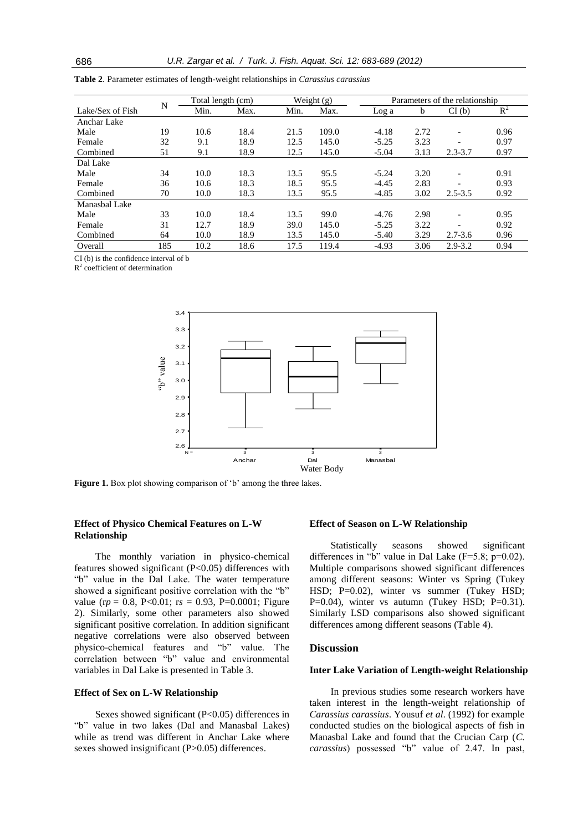|                  | N   | Total length (cm) |      | Weight (g) |       | Parameters of the relationship |      |             |       |
|------------------|-----|-------------------|------|------------|-------|--------------------------------|------|-------------|-------|
| Lake/Sex of Fish |     | Min.              | Max. | Min.       | Max.  | Log a                          | b.   | CI(b)       | $R^2$ |
| Anchar Lake      |     |                   |      |            |       |                                |      |             |       |
| Male             | 19  | 10.6              | 18.4 | 21.5       | 109.0 | $-4.18$                        | 2.72 |             | 0.96  |
| Female           | 32  | 9.1               | 18.9 | 12.5       | 145.0 | $-5.25$                        | 3.23 |             | 0.97  |
| Combined         | 51  | 9.1               | 18.9 | 12.5       | 145.0 | $-5.04$                        | 3.13 | $2.3 - 3.7$ | 0.97  |
| Dal Lake         |     |                   |      |            |       |                                |      |             |       |
| Male             | 34  | 10.0              | 18.3 | 13.5       | 95.5  | $-5.24$                        | 3.20 | ۰           | 0.91  |
| Female           | 36  | 10.6              | 18.3 | 18.5       | 95.5  | $-4.45$                        | 2.83 |             | 0.93  |
| Combined         | 70  | 10.0              | 18.3 | 13.5       | 95.5  | $-4.85$                        | 3.02 | $2.5 - 3.5$ | 0.92  |
| Manashal Lake    |     |                   |      |            |       |                                |      |             |       |
| Male             | 33  | 10.0              | 18.4 | 13.5       | 99.0  | $-4.76$                        | 2.98 |             | 0.95  |
| Female           | 31  | 12.7              | 18.9 | 39.0       | 145.0 | $-5.25$                        | 3.22 |             | 0.92  |
| Combined         | 64  | 10.0              | 18.9 | 13.5       | 145.0 | $-5.40$                        | 3.29 | $2.7 - 3.6$ | 0.96  |
| Overall          | 185 | 10.2              | 18.6 | 17.5       | 119.4 | $-4.93$                        | 3.06 | $2.9 - 3.2$ | 0.94  |

**Table 2**. Parameter estimates of length-weight relationships in *Carassius carassius*

CI (b) is the confidence interval of b

 $R<sup>2</sup>$  coefficient of determination



Figure 1. Box plot showing comparison of 'b' among the three lakes.

### **Effect of Physico Chemical Features on L-W Relationship**

The monthly variation in physico-chemical features showed significant (P<0.05) differences with "b" value in the Dal Lake. The water temperature showed a significant positive correlation with the "b" value (r*p* = 0.8, P<0.01; r*s* = 0.93, P=0.0001; Figure 2). Similarly, some other parameters also showed significant positive correlation. In addition significant negative correlations were also observed between physico-chemical features and "b" value. The correlation between "b" value and environmental variables in Dal Lake is presented in Table 3.

### **Effect of Sex on L-W Relationship**

Sexes showed significant (P<0.05) differences in "b" value in two lakes (Dal and Manasbal Lakes) while as trend was different in Anchar Lake where sexes showed insignificant (P>0.05) differences.

### **Effect of Season on L-W Relationship**

Statistically seasons showed significant differences in "b" value in Dal Lake  $(F=5.8; p=0.02)$ . Multiple comparisons showed significant differences among different seasons: Winter vs Spring (Tukey HSD; P=0.02), winter vs summer (Tukey HSD; P=0.04), winter vs autumn (Tukey HSD;  $P=0.31$ ). Similarly LSD comparisons also showed significant differences among different seasons (Table 4).

### **Discussion**

#### **Inter Lake Variation of Length-weight Relationship**

In previous studies some research workers have taken interest in the length-weight relationship of *Carassius carassius*. Yousuf *et al*. (1992) for example conducted studies on the biological aspects of fish in Manasbal Lake and found that the Crucian Carp (*C. carassius*) possessed "b" value of 2.47. In past,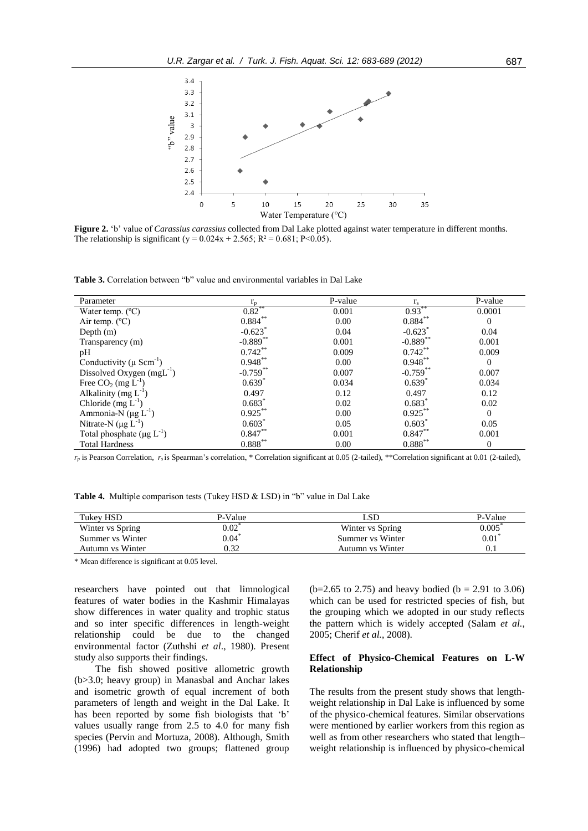

**Figure 2.** 'b' value of *Carassius carassius* collected from Dal Lake plotted against water temperature in different months. The relationship is significant (y =  $0.024x + 2.565$ ; R<sup>2</sup> =  $0.681$ ; P<0.05).

**Table 3.** Correlation between "b" value and environmental variables in Dal Lake

| Parameter                                   | $r_{\rm n}$           | P-value | $r_{\rm s}$           | P-value  |
|---------------------------------------------|-----------------------|---------|-----------------------|----------|
| Water temp. $(^{\circ}C)$                   | $0.82$ **             | 0.001   | $0.93***$             | 0.0001   |
| Air temp. $(^{\circ}C)$                     | $0.884***$            | 0.00    | $0.884***$            | $\Omega$ |
| Depth $(m)$                                 | $-0.623$ <sup>*</sup> | 0.04    | $-0.623$ <sup>*</sup> | 0.04     |
| Transparency (m)                            | $-0.889$ **           | 0.001   | $-0.889$ **           | 0.001    |
| pH                                          | $0.742**$             | 0.009   | $0.742**$             | 0.009    |
| Conductivity ( $\mu$ Scm <sup>-1</sup> )    | $0.948***$            | 0.00    | $0.948***$            | $\theta$ |
| Dissolved Oxygen (mgL <sup>-1</sup> )       | $-0.759**$            | 0.007   | $-0.759**$            | 0.007    |
| Free $CO_2$ (mg $L^{-1}$ )                  | $0.639*$              | 0.034   | $0.639*$              | 0.034    |
| Alkalinity (mg $L^{-1}$ )                   | 0.497                 | 0.12    | 0.497                 | 0.12     |
| Chloride $(mg L^{-1})$                      | $0.683*$              | 0.02    | $0.683*$              | 0.02     |
| Ammonia-N $(\mu g L^{-1})$                  | $0.925***$            | 0.00    | $0.925***$            | $\theta$ |
| Nitrate-N $(\mu g L^{-1})$                  | $0.603*$              | 0.05    | $0.603^*$             | 0.05     |
| Total phosphate ( $\mu$ g L <sup>-1</sup> ) | $0.847**$             | 0.001   | $0.847**$             | 0.001    |
| <b>Total Hardness</b>                       | $0.888^{**}$          | 0.00    | $0.888^{**}$          | $\Omega$ |

 $r_p$  is Pearson Correlation,  $r_s$  is Spearman's correlation, \* Correlation significant at 0.05 (2-tailed), \*\*Correlation significant at 0.01 (2-tailed),

**Table 4.** Multiple comparison tests (Tukey HSD & LSD) in "b" value in Dal Lake

| Tukey HSD        | P-Value    |                  | P-Value    |
|------------------|------------|------------------|------------|
| Winter vs Spring | $0.02^{0}$ | Winter vs Spring | $0.005^*$  |
| Summer vs Winter | $0.04*$    | Summer vs Winter | $0.01^{*}$ |
| Autumn vs Winter | ).32       | Autumn vs Winter | U. I       |

\* Mean difference is significant at 0.05 level.

researchers have pointed out that limnological features of water bodies in the Kashmir Himalayas show differences in water quality and trophic status and so inter specific differences in length-weight relationship could be due to the changed environmental factor (Zuthshi *et al*., 1980). Present study also supports their findings.

The fish showed positive allometric growth (b>3.0; heavy group) in Manasbal and Anchar lakes and isometric growth of equal increment of both parameters of length and weight in the Dal Lake. It has been reported by some fish biologists that 'b' values usually range from 2.5 to 4.0 for many fish species (Pervin and Mortuza, 2008). Although, Smith (1996) had adopted two groups; flattened group  $(b=2.65 \text{ to } 2.75)$  and heavy bodied  $(b = 2.91 \text{ to } 3.06)$ which can be used for restricted species of fish, but the grouping which we adopted in our study reflects the pattern which is widely accepted (Salam *et al.*, 2005; Cherif *et al.*, 2008).

### **Effect of Physico-Chemical Features on L-W Relationship**

The results from the present study shows that lengthweight relationship in Dal Lake is influenced by some of the physico-chemical features. Similar observations were mentioned by earlier workers from this region as well as from other researchers who stated that length– weight relationship is influenced by physico-chemical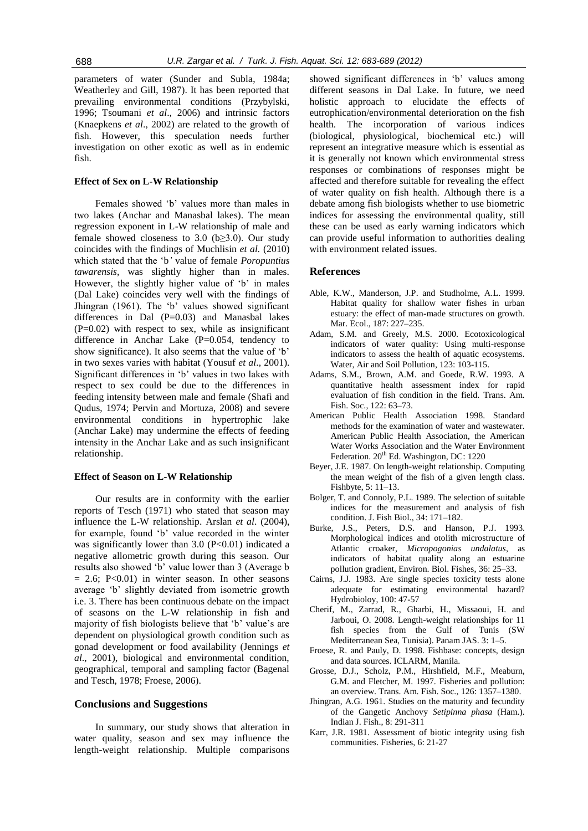parameters of water (Sunder and Subla, 1984a; Weatherley and Gill, 1987). It has been reported that prevailing environmental conditions (Przybylski, 1996; Tsoumani *et al*., 2006) and intrinsic factors (Knaepkens *et al*., 2002) are related to the growth of fish. However, this speculation needs further investigation on other exotic as well as in endemic fish.

### **Effect of Sex on L-W Relationship**

Females showed 'b' values more than males in two lakes (Anchar and Manasbal lakes). The mean regression exponent in L-W relationship of male and female showed closeness to 3.0 ( $b \ge 3.0$ ). Our study coincides with the findings of Muchlisin *et al.* (2010) which stated that the 'b*'* value of female *Poropuntius tawarensis,* was slightly higher than in males. However, the slightly higher value of 'b' in males (Dal Lake) coincides very well with the findings of Jhingran (1961). The 'b' values showed significant differences in Dal (P=0.03) and Manasbal lakes  $(P=0.02)$  with respect to sex, while as insignificant difference in Anchar Lake (P=0.054, tendency to show significance). It also seems that the value of 'b' in two sexes varies with habitat (Yousuf *et al*., 2001). Significant differences in 'b' values in two lakes with respect to sex could be due to the differences in feeding intensity between male and female (Shafi and Qudus, 1974; Pervin and Mortuza, 2008) and severe environmental conditions in hypertrophic lake (Anchar Lake) may undermine the effects of feeding intensity in the Anchar Lake and as such insignificant relationship.

### **Effect of Season on L-W Relationship**

Our results are in conformity with the earlier reports of Tesch (1971) who stated that season may influence the L-W relationship. Arslan *et al*. (2004), for example, found 'b' value recorded in the winter was significantly lower than  $3.0$  (P<0.01) indicated a negative allometric growth during this season. Our results also showed 'b' value lower than 3 (Average b  $= 2.6$ ; P<0.01) in winter season. In other seasons average 'b' slightly deviated from isometric growth i.e. 3. There has been continuous debate on the impact of seasons on the L-W relationship in fish and majority of fish biologists believe that 'b' value's are dependent on physiological growth condition such as gonad development or food availability (Jennings *et al*., 2001), biological and environmental condition, geographical, temporal and sampling factor (Bagenal and Tesch, 1978; Froese, 2006).

### **Conclusions and Suggestions**

In summary, our study shows that alteration in water quality, season and sex may influence the length-weight relationship. Multiple comparisons

showed significant differences in 'b' values among different seasons in Dal Lake. In future, we need holistic approach to elucidate the effects of eutrophication/environmental deterioration on the fish health. The incorporation of various indices (biological, physiological, biochemical etc.) will represent an integrative measure which is essential as it is generally not known which environmental stress responses or combinations of responses might be affected and therefore suitable for revealing the effect of water quality on fish health. Although there is a debate among fish biologists whether to use biometric indices for assessing the environmental quality, still these can be used as early warning indicators which can provide useful information to authorities dealing with environment related issues.

### **References**

- Able, K.W., Manderson, J.P. and Studholme, A.L. 1999. Habitat quality for shallow water fishes in urban estuary: the effect of man-made structures on growth. Mar. Ecol., 187: 227–235.
- Adam, S.M. and Greely, M.S. 2000. Ecotoxicological indicators of water quality: Using multi-response indicators to assess the health of aquatic ecosystems. Water, Air and Soil Pollution, 123: 103-115.
- Adams, S.M., Brown, A.M. and Goede, R.W. 1993. A quantitative health assessment index for rapid evaluation of fish condition in the field. Trans. Am. Fish. Soc., 122: 63–73.
- American Public Health Association 1998. Standard methods for the examination of water and wastewater. American Public Health Association, the American Water Works Association and the Water Environment Federation.  $20^{th}$  Ed. Washington, DC: 1220
- Beyer, J.E. 1987. On length-weight relationship. Computing the mean weight of the fish of a given length class. Fishbyte, 5: 11–13.
- Bolger, T. and Connoly, P.L. 1989. The selection of suitable indices for the measurement and analysis of fish condition. J. Fish Biol., 34: 171–182.
- Burke, J.S., Peters, D.S. and Hanson, P.J. 1993. Morphological indices and otolith microstructure of Atlantic croaker, *Micropogonias undalatus*, as indicators of habitat quality along an estuarine pollution gradient, Environ. Biol. Fishes, 36: 25–33.
- Cairns, J.J. 1983. Are single species toxicity tests alone adequate for estimating environmental hazard? Hydrobioloy, 100: 47-57
- Cherif, M., Zarrad, R., Gharbi, H., Missaoui, H. and Jarboui, O. 2008. Length-weight relationships for 11 fish species from the Gulf of Tunis (SW Mediterranean Sea, Tunisia). Panam JAS. 3: 1–5.
- Froese, R. and Pauly, D. 1998. Fishbase: concepts, design and data sources. ICLARM, Manila.
- Grosse, D.J., Scholz, P.M., Hirshfield, M.F., Meaburn, G.M. and Fletcher, M. 1997. Fisheries and pollution: an overview. Trans. Am. Fish. Soc., 126: 1357–1380.
- Jhingran, A.G. 1961. Studies on the maturity and fecundity of the Gangetic Anchovy *Setipinna phasa* (Ham.). Indian J. Fish., 8: 291-311
- Karr, J.R. 1981. Assessment of biotic integrity using fish communities. Fisheries, 6: 21-27